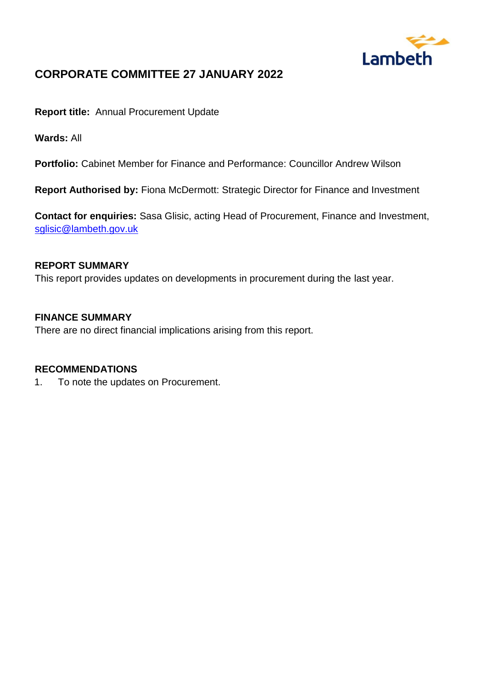

# **CORPORATE COMMITTEE 27 JANUARY 2022**

**Report title:** Annual Procurement Update

**Wards:** All

**Portfolio:** Cabinet Member for Finance and Performance: Councillor Andrew Wilson

**Report Authorised by:** Fiona McDermott: Strategic Director for Finance and Investment

**Contact for enquiries:** Sasa Glisic, acting Head of Procurement, Finance and Investment, [sglisic@lambeth.gov.uk](mailto:sglisic@lambeth.gov.uk)

### **REPORT SUMMARY**

This report provides updates on developments in procurement during the last year.

#### **FINANCE SUMMARY**

There are no direct financial implications arising from this report.

#### **RECOMMENDATIONS**

1. To note the updates on Procurement.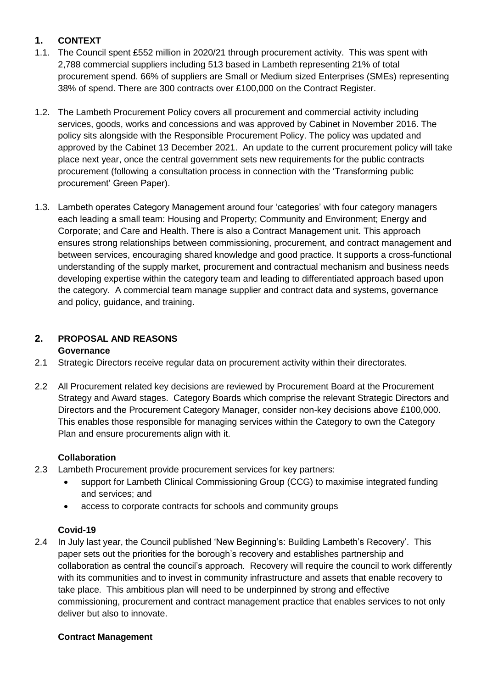# **1. CONTEXT**

- 1.1. The Council spent £552 million in 2020/21 through procurement activity. This was spent with 2,788 commercial suppliers including 513 based in Lambeth representing 21% of total procurement spend. 66% of suppliers are Small or Medium sized Enterprises (SMEs) representing 38% of spend. There are 300 contracts over £100,000 on the Contract Register.
- 1.2. The Lambeth Procurement Policy covers all procurement and commercial activity including services, goods, works and concessions and was approved by Cabinet in November 2016. The policy sits alongside with the Responsible Procurement Policy. The policy was updated and approved by the Cabinet 13 December 2021. An update to the current procurement policy will take place next year, once the central government sets new requirements for the public contracts procurement (following a consultation process in connection with the 'Transforming public procurement' Green Paper).
- 1.3. Lambeth operates Category Management around four 'categories' with four category managers each leading a small team: Housing and Property; Community and Environment; Energy and Corporate; and Care and Health. There is also a Contract Management unit. This approach ensures strong relationships between commissioning, procurement, and contract management and between services, encouraging shared knowledge and good practice. It supports a cross-functional understanding of the supply market, procurement and contractual mechanism and business needs developing expertise within the category team and leading to differentiated approach based upon the category. A commercial team manage supplier and contract data and systems, governance and policy, guidance, and training.

#### **2. PROPOSAL AND REASONS Governance**

- 2.1 Strategic Directors receive regular data on procurement activity within their directorates.
- 2.2 All Procurement related key decisions are reviewed by Procurement Board at the Procurement Strategy and Award stages. Category Boards which comprise the relevant Strategic Directors and Directors and the Procurement Category Manager, consider non-key decisions above £100,000. This enables those responsible for managing services within the Category to own the Category Plan and ensure procurements align with it.

# **Collaboration**

- 2.3 Lambeth Procurement provide procurement services for key partners:
	- support for Lambeth Clinical Commissioning Group (CCG) to maximise integrated funding and services; and
	- access to corporate contracts for schools and community groups

# **Covid-19**

2.4 In July last year, the Council published 'New Beginning's: Building Lambeth's Recovery'. This paper sets out the priorities for the borough's recovery and establishes partnership and collaboration as central the council's approach. Recovery will require the council to work differently with its communities and to invest in community infrastructure and assets that enable recovery to take place. This ambitious plan will need to be underpinned by strong and effective commissioning, procurement and contract management practice that enables services to not only deliver but also to innovate.

# **Contract Management**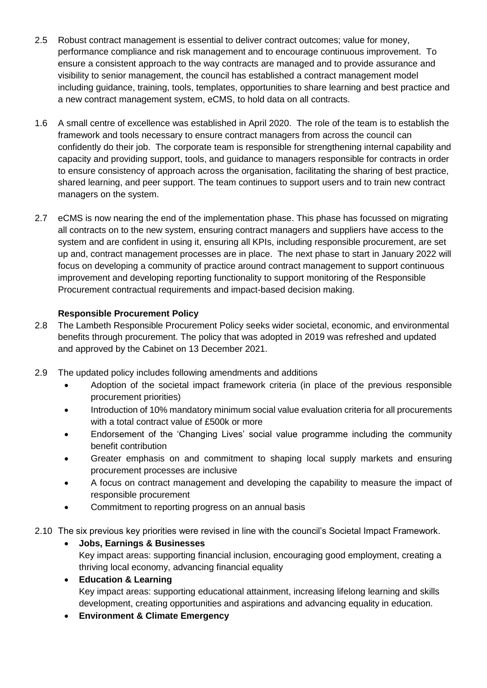- 2.5 Robust contract management is essential to deliver contract outcomes; value for money, performance compliance and risk management and to encourage continuous improvement. To ensure a consistent approach to the way contracts are managed and to provide assurance and visibility to senior management, the council has established a contract management model including guidance, training, tools, templates, opportunities to share learning and best practice and a new contract management system, eCMS, to hold data on all contracts.
- 1.6 A small centre of excellence was established in April 2020. The role of the team is to establish the framework and tools necessary to ensure contract managers from across the council can confidently do their job. The corporate team is responsible for strengthening internal capability and capacity and providing support, tools, and guidance to managers responsible for contracts in order to ensure consistency of approach across the organisation, facilitating the sharing of best practice, shared learning, and peer support. The team continues to support users and to train new contract managers on the system.
- 2.7 eCMS is now nearing the end of the implementation phase. This phase has focussed on migrating all contracts on to the new system, ensuring contract managers and suppliers have access to the system and are confident in using it, ensuring all KPIs, including responsible procurement, are set up and, contract management processes are in place. The next phase to start in January 2022 will focus on developing a community of practice around contract management to support continuous improvement and developing reporting functionality to support monitoring of the Responsible Procurement contractual requirements and impact-based decision making.

#### **Responsible Procurement Policy**

- 2.8 The Lambeth Responsible Procurement Policy seeks wider societal, economic, and environmental benefits through procurement. The policy that was adopted in 2019 was refreshed and updated and approved by the Cabinet on 13 December 2021.
- 2.9 The updated policy includes following amendments and additions
	- Adoption of the societal impact framework criteria (in place of the previous responsible procurement priorities)
	- Introduction of 10% mandatory minimum social value evaluation criteria for all procurements with a total contract value of £500k or more
	- Endorsement of the 'Changing Lives' social value programme including the community benefit contribution
	- Greater emphasis on and commitment to shaping local supply markets and ensuring procurement processes are inclusive
	- A focus on contract management and developing the capability to measure the impact of responsible procurement
	- Commitment to reporting progress on an annual basis
- 2.10 The six previous key priorities were revised in line with the council's Societal Impact Framework.
	- **Jobs, Earnings & Businesses**  Key impact areas: supporting financial inclusion, encouraging good employment, creating a thriving local economy, advancing financial equality
	- **Education & Learning** Key impact areas: supporting educational attainment, increasing lifelong learning and skills development, creating opportunities and aspirations and advancing equality in education.
	- **Environment & Climate Emergency**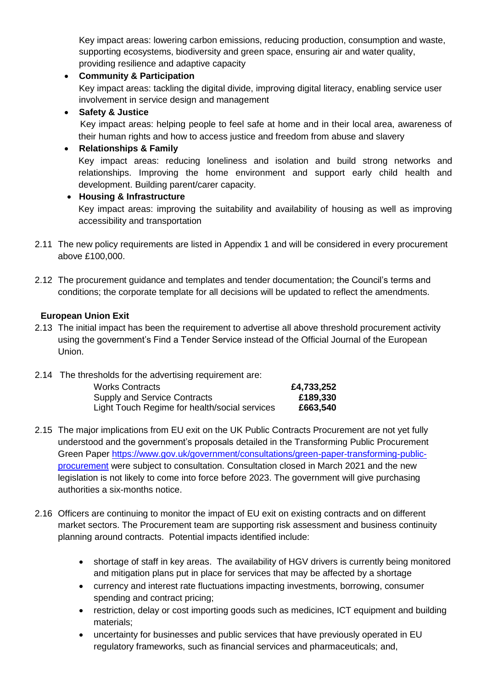Key impact areas: lowering carbon emissions, reducing production, consumption and waste, supporting ecosystems, biodiversity and green space, ensuring air and water quality, providing resilience and adaptive capacity

### **Community & Participation**

Key impact areas: tackling the digital divide, improving digital literacy, enabling service user involvement in service design and management

#### **Safety & Justice**

Key impact areas: helping people to feel safe at home and in their local area, awareness of their human rights and how to access justice and freedom from abuse and slavery

### **Relationships & Family**

Key impact areas: reducing loneliness and isolation and build strong networks and relationships. Improving the home environment and support early child health and development. Building parent/carer capacity.

#### **Housing & Infrastructure**

Key impact areas: improving the suitability and availability of housing as well as improving accessibility and transportation

- 2.11 The new policy requirements are listed in Appendix 1 and will be considered in every procurement above £100,000.
- 2.12 The procurement guidance and templates and tender documentation; the Council's terms and conditions; the corporate template for all decisions will be updated to reflect the amendments.

### **European Union Exit**

- 2.13 The initial impact has been the requirement to advertise all above threshold procurement activity using the government's Find a Tender Service instead of the Official Journal of the European Union.
- 2.14 The thresholds for the advertising requirement are:

| <b>Works Contracts</b>                        | £4,733,252 |
|-----------------------------------------------|------------|
| <b>Supply and Service Contracts</b>           | £189,330   |
| Light Touch Regime for health/social services | £663,540   |

- 2.15 The major implications from EU exit on the UK Public Contracts Procurement are not yet fully understood and the government's proposals detailed in the Transforming Public Procurement Green Paper [https://www.gov.uk/government/consultations/green-paper-transforming-public](https://www.gov.uk/government/consultations/green-paper-transforming-public-procurement)[procurement](https://www.gov.uk/government/consultations/green-paper-transforming-public-procurement) were subject to consultation. Consultation closed in March 2021 and the new legislation is not likely to come into force before 2023. The government will give purchasing authorities a six-months notice.
- 2.16 Officers are continuing to monitor the impact of EU exit on existing contracts and on different market sectors. The Procurement team are supporting risk assessment and business continuity planning around contracts. Potential impacts identified include:
	- shortage of staff in key areas. The availability of HGV drivers is currently being monitored and mitigation plans put in place for services that may be affected by a shortage
	- currency and interest rate fluctuations impacting investments, borrowing, consumer spending and contract pricing;
	- restriction, delay or cost importing goods such as medicines, ICT equipment and building materials;
	- uncertainty for businesses and public services that have previously operated in EU regulatory frameworks, such as financial services and pharmaceuticals; and,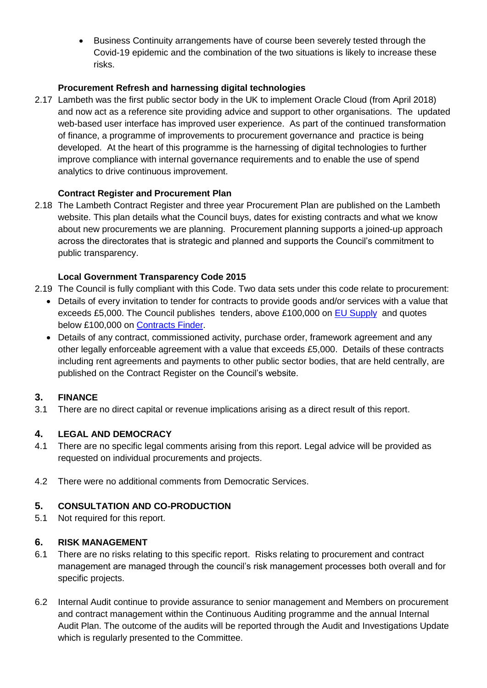Business Continuity arrangements have of course been severely tested through the Covid-19 epidemic and the combination of the two situations is likely to increase these risks.

### **Procurement Refresh and harnessing digital technologies**

2.17 Lambeth was the first public sector body in the UK to implement Oracle Cloud (from April 2018) and now act as a reference site providing advice and support to other organisations. The updated web-based user interface has improved user experience. As part of the continued transformation of finance, a programme of improvements to procurement governance and practice is being developed. At the heart of this programme is the harnessing of digital technologies to further improve compliance with internal governance requirements and to enable the use of spend analytics to drive continuous improvement.

### **Contract Register and Procurement Plan**

2.18 The [Lambeth Contract Register and three year Procurement Plan](http://www.lambeth.gov.uk/business-services-rates-and-licensing/selling-services/council-contract-opportunities-guide) are published on the [Lambeth](https://www.lambeth.gov.uk/business-services-rates-and-licensing/selling-services/council-contract-opportunities-guide)  [website.](https://www.lambeth.gov.uk/business-services-rates-and-licensing/selling-services/council-contract-opportunities-guide) This plan details what the Council buys, dates for existing contracts and what we know about new procurements we are planning. Procurement planning supports a joined-up approach across the directorates that is strategic and planned and supports the Council's commitment to public transparency.

### **Local Government Transparency Code 2015**

- 2.19 The Council is fully compliant with this Code. Two data sets under this code relate to procurement:
	- Details of every invitation to tender for contracts to provide goods and/or services with a value that exceeds £5,000. The Council publishes tenders, above £100,000 on [EU Supply](https://lblambeth.eu-supply.com/ctm/supplier/publictenders?b=LBLAMBETH) and quotes below £100,000 on [Contracts Finder.](https://www.contractsfinder.service.gov.uk/Search/Results?IncludeClosed=False&IncludeAwarded=False&Keyword=Lambeth&LocationType=Region&Region=London&numberPerPage=25&sort=PublicationDescending)
	- Details of any contract, commissioned activity, purchase order, framework agreement and any other legally enforceable agreement with a value that exceeds £5,000. Details of these contracts including rent agreements and payments to other public sector bodies, that are held centrally, are published on the Contract Register on the Council's website.

# **3. FINANCE**

3.1 There are no direct capital or revenue implications arising as a direct result of this report.

# **4. LEGAL AND DEMOCRACY**

- 4.1 There are no specific legal comments arising from this report. Legal advice will be provided as requested on individual procurements and projects.
- 4.2 There were no additional comments from Democratic Services.

#### **5. CONSULTATION AND CO-PRODUCTION**

5.1 Not required for this report.

#### **6. RISK MANAGEMENT**

- 6.1 There are no risks relating to this specific report. Risks relating to procurement and contract management are managed through the council's risk management processes both overall and for specific projects.
- 6.2 Internal Audit continue to provide assurance to senior management and Members on procurement and contract management within the Continuous Auditing programme and the annual Internal Audit Plan. The outcome of the audits will be reported through the Audit and Investigations Update which is regularly presented to the Committee.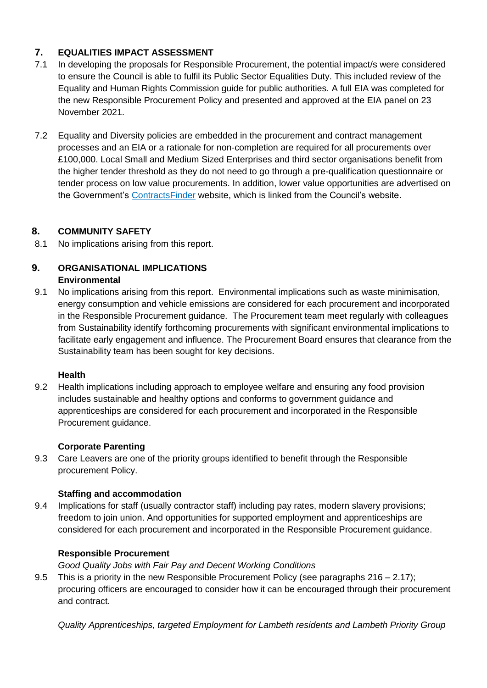# **7. EQUALITIES IMPACT ASSESSMENT**

- 7.1 In developing the proposals for Responsible Procurement, the potential impact/s were considered to ensure the Council is able to fulfil its Public Sector Equalities Duty. This included review of the Equality and Human Rights Commission guide for public authorities. A full EIA was completed for the new Responsible Procurement Policy and presented and approved at the EIA panel on 23 November 2021.
- 7.2 Equality and Diversity policies are embedded in the procurement and contract management processes and an EIA or a rationale for non-completion are required for all procurements over £100,000. Local Small and Medium Sized Enterprises and third sector organisations benefit from the higher tender threshold as they do not need to go through a pre-qualification questionnaire or tender process on low value procurements. In addition, lower value opportunities are advertised on the Government's [ContractsFinder](https://www.contractsfinder.service.gov.uk/Search/Results?Keyword=lambeth&LocationType=AllLocations) website, which is linked from the Council's website.

# **8. COMMUNITY SAFETY**

8.1 No implications arising from this report.

### **9. ORGANISATIONAL IMPLICATIONS Environmental**

9.1 No implications arising from this report. Environmental implications such as waste minimisation, energy consumption and vehicle emissions are considered for each procurement and incorporated in the Responsible Procurement guidance. The Procurement team meet regularly with colleagues from Sustainability identify forthcoming procurements with significant environmental implications to facilitate early engagement and influence. The Procurement Board ensures that clearance from the Sustainability team has been sought for key decisions.

# **Health**

9.2 Health implications including approach to employee welfare and ensuring any food provision includes sustainable and healthy options and conforms to government guidance and apprenticeships are considered for each procurement and incorporated in the Responsible Procurement guidance.

# **Corporate Parenting**

9.3 Care Leavers are one of the priority groups identified to benefit through the Responsible procurement Policy.

# **Staffing and accommodation**

9.4 Implications for staff (usually contractor staff) including pay rates, modern slavery provisions; freedom to join union. And opportunities for supported employment and apprenticeships are considered for each procurement and incorporated in the Responsible Procurement guidance.

# **Responsible Procurement**

*Good Quality Jobs with Fair Pay and Decent Working Conditions*

9.5 This is a priority in the new Responsible Procurement Policy (see paragraphs  $216 - 2.17$ ); procuring officers are encouraged to consider how it can be encouraged through their procurement and contract.

*Quality Apprenticeships, targeted Employment for Lambeth residents and Lambeth Priority Group*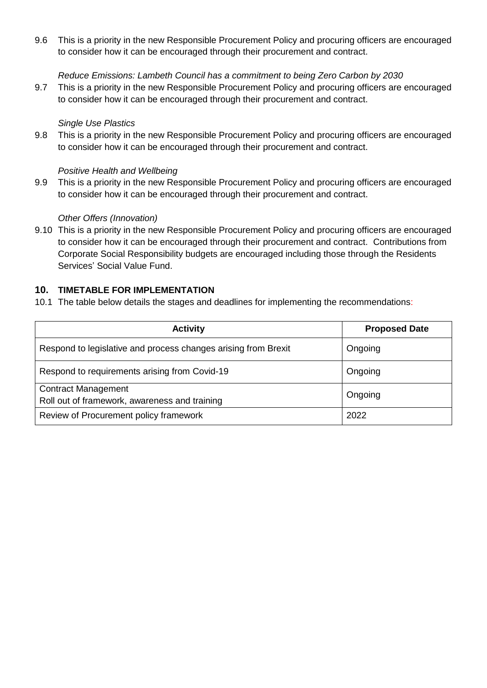9.6 This is a priority in the new Responsible Procurement Policy and procuring officers are encouraged to consider how it can be encouraged through their procurement and contract.

#### *Reduce Emissions: Lambeth Council has a commitment to being Zero Carbon by 2030*

9.7 This is a priority in the new Responsible Procurement Policy and procuring officers are encouraged to consider how it can be encouraged through their procurement and contract.

#### *Single Use Plastics*

9.8 This is a priority in the new Responsible Procurement Policy and procuring officers are encouraged to consider how it can be encouraged through their procurement and contract.

#### *Positive Health and Wellbeing*

9.9 This is a priority in the new Responsible Procurement Policy and procuring officers are encouraged to consider how it can be encouraged through their procurement and contract.

#### *Other Offers (Innovation)*

9.10 This is a priority in the new Responsible Procurement Policy and procuring officers are encouraged to consider how it can be encouraged through their procurement and contract. Contributions from Corporate Social Responsibility budgets are encouraged including those through the Residents Services' Social Value Fund.

#### **10. TIMETABLE FOR IMPLEMENTATION**

10.1 The table below details the stages and deadlines for implementing the recommendations:

| <b>Activity</b>                                                             | <b>Proposed Date</b> |  |
|-----------------------------------------------------------------------------|----------------------|--|
| Respond to legislative and process changes arising from Brexit              | Ongoing              |  |
| Respond to requirements arising from Covid-19                               | Ongoing              |  |
| <b>Contract Management</b><br>Roll out of framework, awareness and training | Ongoing              |  |
| Review of Procurement policy framework                                      | 2022                 |  |